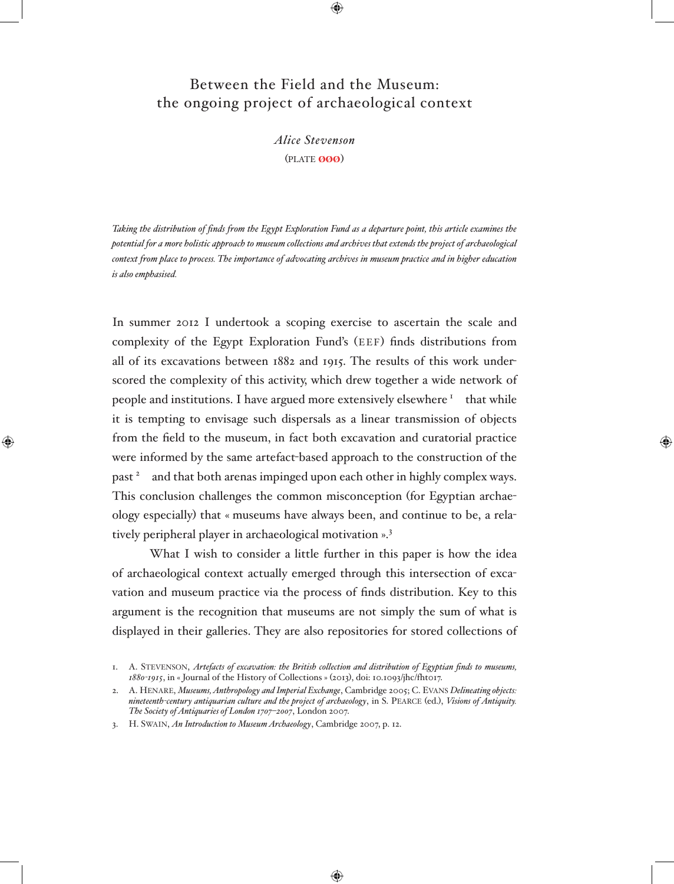# Between the Field and the Museum: the ongoing project of archaeological context

⊕

*Alice Stevenson* (plate øøø)

*Taking the distribution of finds from the Egypt Exploration Fund as a departure point, this article examines the potential for a more holistic approach to museum collections and archives that extends the project of archaeological context from place to process. The importance of advocating archives in museum practice and in higher education is also emphasised.*

In summer 2012 I undertook a scoping exercise to ascertain the scale and complexity of the Egypt Exploration Fund's (eef) finds distributions from all of its excavations between 1882 and 1915. The results of this work underscored the complexity of this activity, which drew together a wide network of people and institutions. I have argued more extensively elsewhere  $\frac{1}{1}$  that while it is tempting to envisage such dispersals as a linear transmission of objects from the field to the museum, in fact both excavation and curatorial practice were informed by the same artefact-based approach to the construction of the past <sup>2</sup> and that both arenas impinged upon each other in highly complex ways. This conclusion challenges the common misconception (for Egyptian archaeology especially) that « museums have always been, and continue to be, a relatively peripheral player in archaeological motivation ».<sup>3</sup>

What I wish to consider a little further in this paper is how the idea of archaeological context actually emerged through this intersection of excavation and museum practice via the process of finds distribution. Key to this argument is the recognition that museums are not simply the sum of what is displayed in their galleries. They are also repositories for stored collections of

⊕

3. H. Swain, *An Introduction to Museum Archaeology*, Cambridge 2007, p. 12.

<sup>1.</sup> A. Stevenson, *Artefacts of excavation: the British collection and distribution of Egyptian finds to museums, 1880-1915*, in « Journal of the History of Collections » (2013), doi: 10.1093/jhc/fht017.

<sup>2.</sup> A. Henare, *Museums, Anthropology and Imperial Exchange*, Cambridge 2005; C. Evans *Delineating objects: nineteenth-century antiquarian culture and the project of archaeology*, in S. Pearce (ed.), *Visions of Antiquity. The Society of Antiquaries of London 1707*–*2007*, London 2007.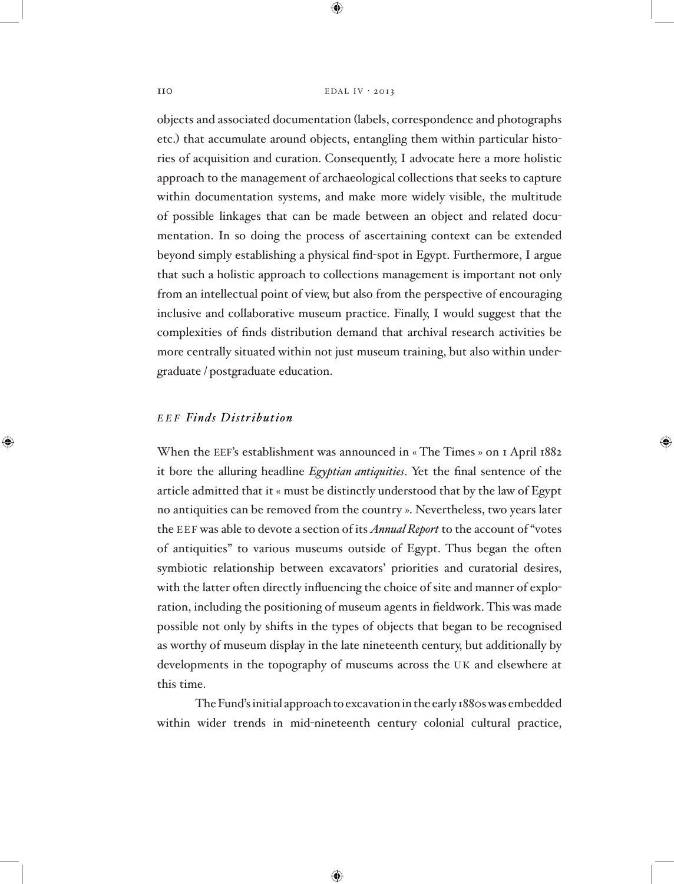#### $110$  EDAL IV · 2013

 $\bigoplus$ 

objects and associated documentation (labels, correspondence and photographs etc.) that accumulate around objects, entangling them within particular histories of acquisition and curation. Consequently, I advocate here a more holistic approach to the management of archaeological collections that seeks to capture within documentation systems, and make more widely visible, the multitude of possible linkages that can be made between an object and related documentation. In so doing the process of ascertaining context can be extended beyond simply establishing a physical find-spot in Egypt. Furthermore, I argue that such a holistic approach to collections management is important not only from an intellectual point of view, but also from the perspective of encouraging inclusive and collaborative museum practice. Finally, I would suggest that the complexities of finds distribution demand that archival research activities be more centrally situated within not just museum training, but also within undergraduate / postgraduate education.

## *e e f Finds Distribution*

⊕

When the EEF's establishment was announced in « The Times » on 1 April 1882 it bore the alluring headline *Egyptian antiquities*. Yet the final sentence of the article admitted that it « must be distinctly understood that by the law of Egypt no antiquities can be removed from the country ». Nevertheless, two years later the EEF was able to devote a section of its *Annual Report* to the account of "votes" of antiquities" to various museums outside of Egypt. Thus began the often symbiotic relationship between excavators' priorities and curatorial desires, with the latter often directly influencing the choice of site and manner of exploration, including the positioning of museum agents in fieldwork. This was made possible not only by shifts in the types of objects that began to be recognised as worthy of museum display in the late nineteenth century, but additionally by developments in the topography of museums across the UK and elsewhere at this time.

The Fund's initial approach to excavation in the early 1880s was embedded within wider trends in mid-nineteenth century colonial cultural practice,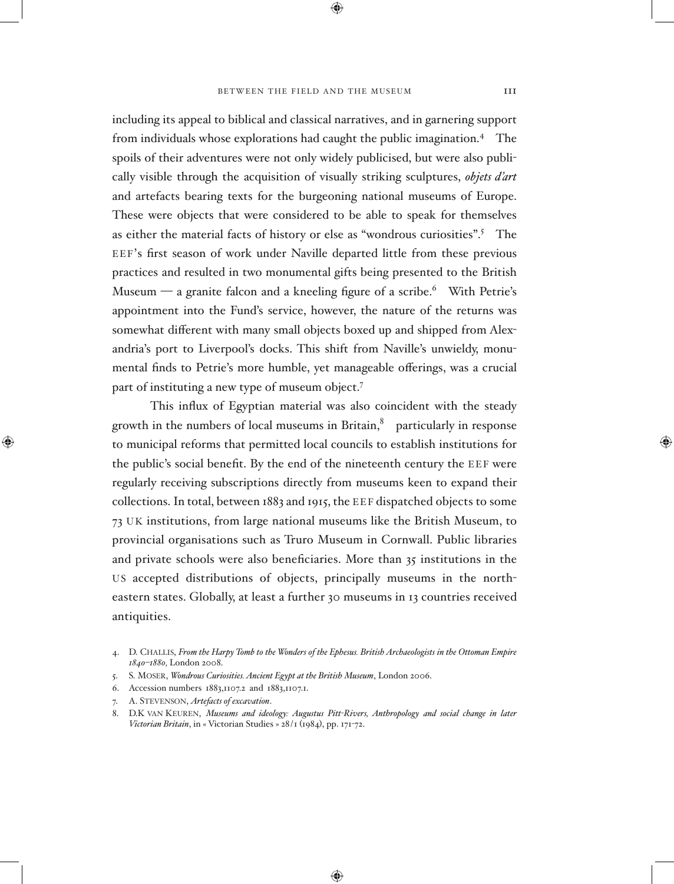#### BETWEEN THE FIELD AND THE MUSEUM 111

⊕

including its appeal to biblical and classical narratives, and in garnering support from individuals whose explorations had caught the public imagination.<sup>4</sup> The spoils of their adventures were not only widely publicised, but were also publically visible through the acquisition of visually striking sculptures, *objets d'art* and artefacts bearing texts for the burgeoning national museums of Europe. These were objects that were considered to be able to speak for themselves as either the material facts of history or else as "wondrous curiosities".<sup>5</sup> The EEF's first season of work under Naville departed little from these previous practices and resulted in two monumental gifts being presented to the British Museum — a granite falcon and a kneeling figure of a scribe.<sup>6</sup> With Petrie's appointment into the Fund's service, however, the nature of the returns was somewhat different with many small objects boxed up and shipped from Alexandria's port to Liverpool's docks. This shift from Naville's unwieldy, monumental finds to Petrie's more humble, yet manageable offerings, was a crucial part of instituting a new type of museum object.<sup>7</sup>

This influx of Egyptian material was also coincident with the steady growth in the numbers of local museums in Britain, $\delta$  particularly in response to municipal reforms that permitted local councils to establish institutions for the public's social benefit. By the end of the nineteenth century the EEF were regularly receiving subscriptions directly from museums keen to expand their collections. In total, between 1883 and 1915, the EEF dispatched objects to some 73 UK institutions, from large national museums like the British Museum, to provincial organisations such as Truro Museum in Cornwall. Public libraries and private schools were also beneficiaries. More than 35 institutions in the us accepted distributions of objects, principally museums in the northeastern states. Globally, at least a further 30 museums in 13 countries received antiquities.

⊕

<sup>4.</sup> D. Challis, *From the Harpy Tomb to the Wonders of the Ephesus. British Archaeologists in the Ottoman Empire 1840–1880,* London 2008.

<sup>5.</sup> S. Moser, *Wondrous Curiosities. Ancient Egypt at the British Museum*, London 2006.

<sup>6.</sup> Accession numbers 1883,1107.2 and 1883,1107.1.

<sup>7.</sup> A. Stevenson, *Artefacts of excavation*.

D.K VAN KEUREN, *Museums and ideology: Augustus Pitt-Rivers, Anthropology and social change in later Victorian Britain*, in « Victorian Studies » 28/1 (1984), pp. 171-72.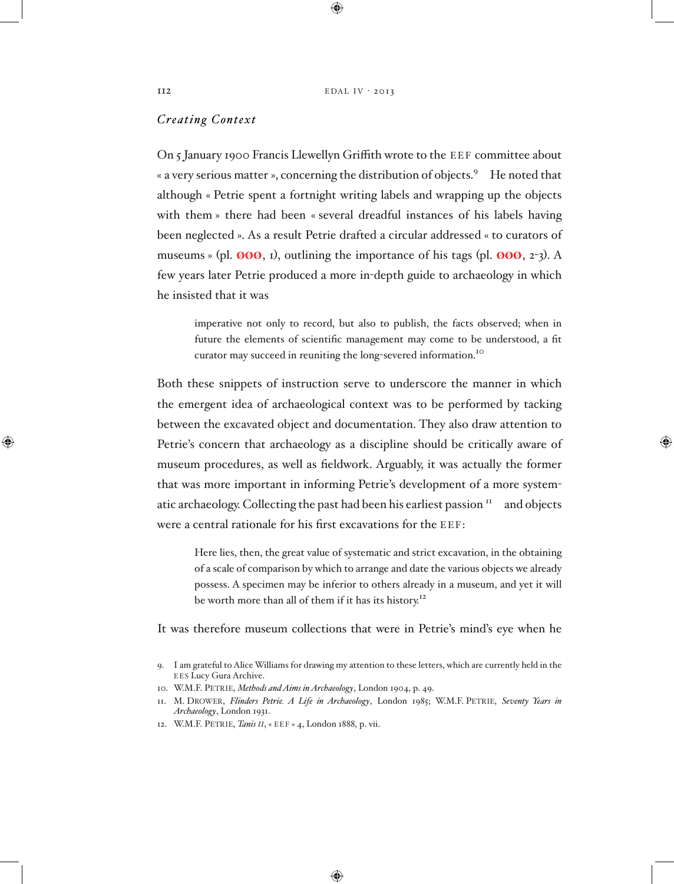$II2$  EDAL IV · 2013

 $\bigoplus$ 

## *Creating Context*

On 5 January 1900 Francis Llewellyn Griffith wrote to the EEF committee about « a very serious matter », concerning the distribution of objects.<sup>9</sup> He noted that although « Petrie spent a fortnight writing labels and wrapping up the objects with them » there had been « several dreadful instances of his labels having been neglected ». As a result Petrie drafted a circular addressed « to curators of museums » (pl.  $\boldsymbol{\emptyset}$   $\boldsymbol{\emptyset}$ , 1), outlining the importance of his tags (pl.  $\boldsymbol{\emptyset}$   $\boldsymbol{\emptyset}$ ,  $\boldsymbol{\emptyset}$ ,  $\boldsymbol{\emptyset}$ ,  $\boldsymbol{\emptyset}$ ,  $\boldsymbol{\emptyset}$ ,  $\boldsymbol{\emptyset}$ ),  $\boldsymbol{\emptyset}$ few years later Petrie produced a more in-depth guide to archaeology in which he insisted that it was

imperative not only to record, but also to publish, the facts observed; when in future the elements of scientific management may come to be understood, a fit curator may succeed in reuniting the long-severed information.<sup>10</sup>

Both these snippets of instruction serve to underscore the manner in which the emergent idea of archaeological context was to be performed by tacking between the excavated object and documentation. They also draw attention to Petrie's concern that archaeology as a discipline should be critically aware of museum procedures, as well as fieldwork. Arguably, it was actually the former that was more important in informing Petrie's development of a more systematic archaeology. Collecting the past had been his earliest passion  $I^I$  and objects were a central rationale for his first excavations for the EEF:

Here lies, then, the great value of systematic and strict excavation, in the obtaining of a scale of comparison by which to arrange and date the various objects we already possess. A specimen may be inferior to others already in a museum, and yet it will be worth more than all of them if it has its history.<sup>12</sup>

It was therefore museum collections that were in Petrie's mind's eye when he

- 10. W.M.F. Petrie, *Methods and Aims in Archaeology*, London 1904, p. 49.
- 11. M. Drower, *Flinders Petrie. A Life in Archaeology*, London 1985; W.M.F. Petrie, *Seventy Years in Archaeology*, London 1931.

⊕

12. W.M.F. Petrie, *Tanis ii*, « eef » 4, London 1888, p. vii.

<sup>9.</sup> I am grateful to Alice Williams for drawing my attention to these letters, which are currently held in the EES Lucy Gura Archive.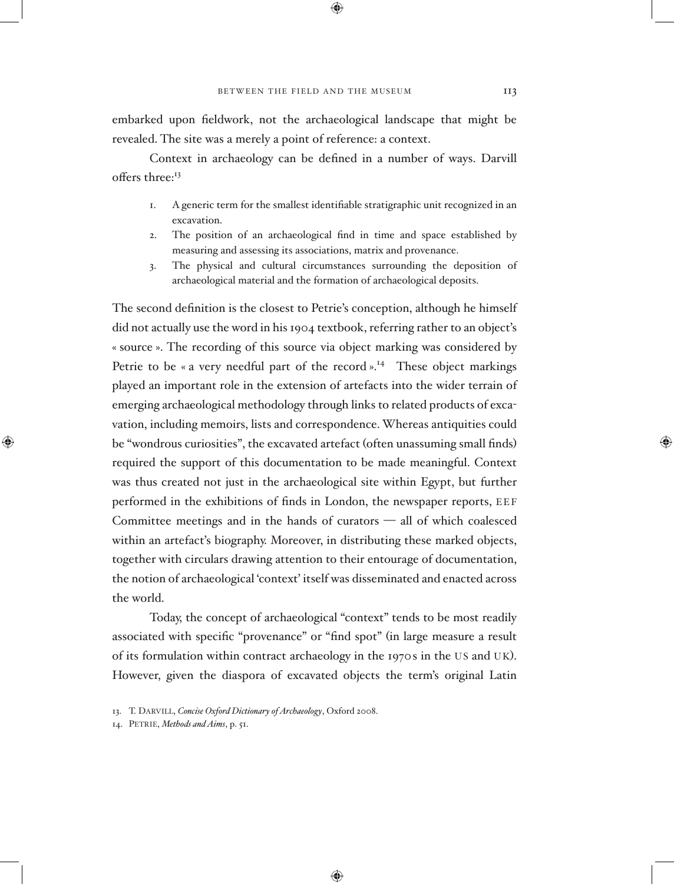⊕

embarked upon fieldwork, not the archaeological landscape that might be revealed. The site was a merely a point of reference: a context.

Context in archaeology can be defined in a number of ways. Darvill offers three:<sup>13</sup>

- 1. A generic term for the smallest identifiable stratigraphic unit recognized in an excavation.
- 2. The position of an archaeological find in time and space established by measuring and assessing its associations, matrix and provenance.
- 3. The physical and cultural circumstances surrounding the deposition of archaeological material and the formation of archaeological deposits.

The second definition is the closest to Petrie's conception, although he himself did not actually use the word in his 1904 textbook, referring rather to an object's « source ». The recording of this source via object marking was considered by Petrie to be « a very needful part of the record ».<sup>14</sup> These object markings played an important role in the extension of artefacts into the wider terrain of emerging archaeological methodology through links to related products of excavation, including memoirs, lists and correspondence. Whereas antiquities could be "wondrous curiosities", the excavated artefact (often unassuming small finds) required the support of this documentation to be made meaningful. Context was thus created not just in the archaeological site within Egypt, but further performed in the exhibitions of finds in London, the newspaper reports, EEF Committee meetings and in the hands of curators — all of which coalesced within an artefact's biography. Moreover, in distributing these marked objects, together with circulars drawing attention to their entourage of documentation, the notion of archaeological 'context' itself was disseminated and enacted across the world.

Today, the concept of archaeological "context" tends to be most readily associated with specific "provenance" or "find spot" (in large measure a result of its formulation within contract archaeology in the 1970s in the US and UK). However, given the diaspora of excavated objects the term's original Latin

⊕

<sup>13.</sup> T. Darvill, *Concise Oxford Dictionary of Archaeology*, Oxford 2008.

<sup>14.</sup> Petrie, *Methods and Aims*, p. 51.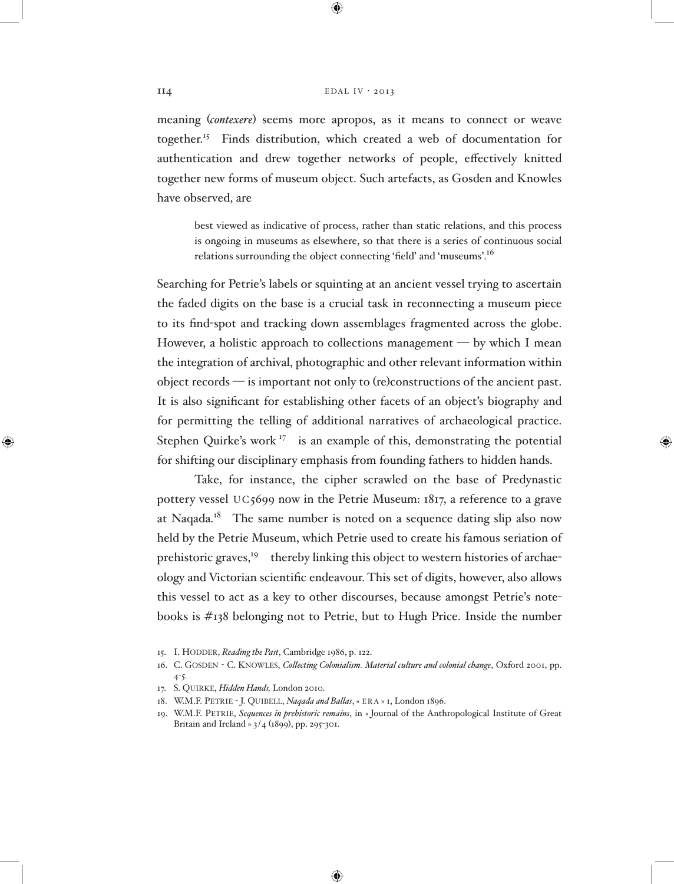#### $II4$  EDAL IV · 2013

 $\bigoplus$ 

meaning (*contexere*) seems more apropos, as it means to connect or weave together.15 Finds distribution, which created a web of documentation for authentication and drew together networks of people, effectively knitted together new forms of museum object. Such artefacts, as Gosden and Knowles have observed, are

best viewed as indicative of process, rather than static relations, and this process is ongoing in museums as elsewhere, so that there is a series of continuous social relations surrounding the object connecting 'field' and 'museums'.16

Searching for Petrie's labels or squinting at an ancient vessel trying to ascertain the faded digits on the base is a crucial task in reconnecting a museum piece to its find-spot and tracking down assemblages fragmented across the globe. However, a holistic approach to collections management  $-$  by which I mean the integration of archival, photographic and other relevant information within object records — is important not only to (re)constructions of the ancient past. It is also significant for establishing other facets of an object's biography and for permitting the telling of additional narratives of archaeological practice. Stephen Quirke's work  $17$  is an example of this, demonstrating the potential for shifting our disciplinary emphasis from founding fathers to hidden hands.

Take, for instance, the cipher scrawled on the base of Predynastic pottery vessel UC5699 now in the Petrie Museum:  $1817$ , a reference to a grave at Naqada.<sup>18</sup> The same number is noted on a sequence dating slip also now held by the Petrie Museum, which Petrie used to create his famous seriation of prehistoric graves,<sup>19</sup> thereby linking this object to western histories of archaeology and Victorian scientific endeavour. This set of digits, however, also allows this vessel to act as a key to other discourses, because amongst Petrie's notebooks is #138 belonging not to Petrie, but to Hugh Price. Inside the number

- 17. S. Quirke, *Hidden Hands,* London 2010.
- 18. W.M.F. Petrie J. Quibell, *Naqada and Ballas*, « era » 1, London 1896.

⊕

<sup>15.</sup> I. HODDER, *Reading the Past*, Cambridge 1986, p. 122.

<sup>16.</sup> C. Gosden - C. Knowles, *Collecting Colonialism. Material culture and colonial change*, Oxford 2001, pp. 4-5.

<sup>19.</sup> W.M.F. Petrie, *Sequences in prehistoric remains*, in « Journal of the Anthropological Institute of Great Britain and Ireland » 3/4 (1899), pp. 295-301.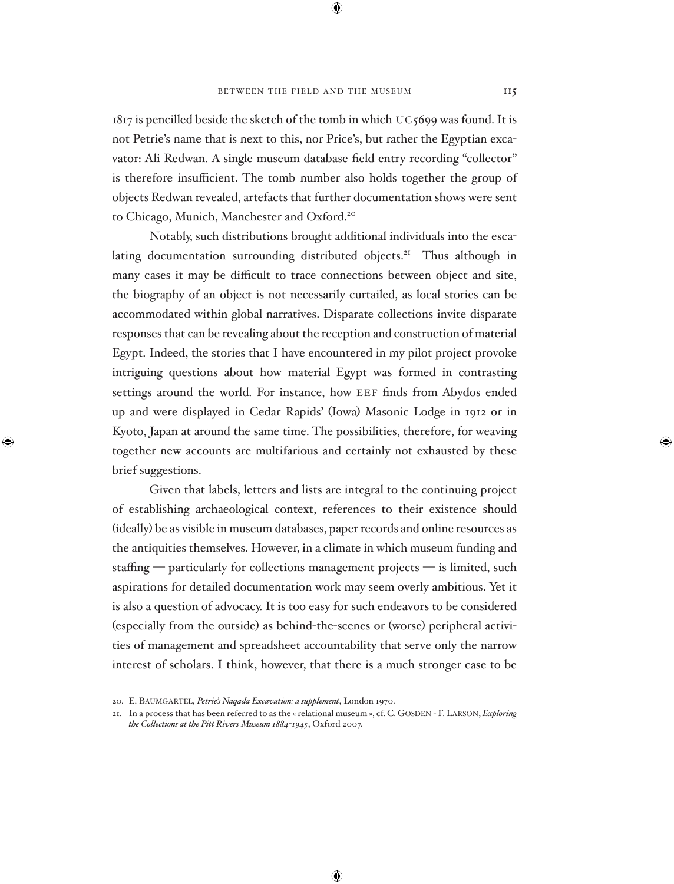⊕

 $1817$  is pencilled beside the sketch of the tomb in which UC5699 was found. It is not Petrie's name that is next to this, nor Price's, but rather the Egyptian excavator: Ali Redwan. A single museum database field entry recording "collector" is therefore insufficient. The tomb number also holds together the group of objects Redwan revealed, artefacts that further documentation shows were sent to Chicago, Munich, Manchester and Oxford.<sup>20</sup>

Notably, such distributions brought additional individuals into the escalating documentation surrounding distributed objects.<sup>21</sup> Thus although in many cases it may be difficult to trace connections between object and site, the biography of an object is not necessarily curtailed, as local stories can be accommodated within global narratives. Disparate collections invite disparate responses that can be revealing about the reception and construction of material Egypt. Indeed, the stories that I have encountered in my pilot project provoke intriguing questions about how material Egypt was formed in contrasting settings around the world. For instance, how EEF finds from Abydos ended up and were displayed in Cedar Rapids' (Iowa) Masonic Lodge in 1912 or in Kyoto, Japan at around the same time. The possibilities, therefore, for weaving together new accounts are multifarious and certainly not exhausted by these brief suggestions.

Given that labels, letters and lists are integral to the continuing project of establishing archaeological context, references to their existence should (ideally) be as visible in museum databases, paper records and online resources as the antiquities themselves. However, in a climate in which museum funding and staffing — particularly for collections management projects — is limited, such aspirations for detailed documentation work may seem overly ambitious. Yet it is also a question of advocacy. It is too easy for such endeavors to be considered (especially from the outside) as behind-the-scenes or (worse) peripheral activities of management and spreadsheet accountability that serve only the narrow interest of scholars. I think, however, that there is a much stronger case to be

◈

<sup>20.</sup> E. Baumgartel, *Petrie's Naqada Excavation: a supplement*, London 1970.

<sup>21.</sup> In a process that has been referred to as the « relational museum », cf. C. GOSDEN - F. LARSON, *Exploring the Collections at the Pitt Rivers Museum 1884*-*1945*, Oxford 2007.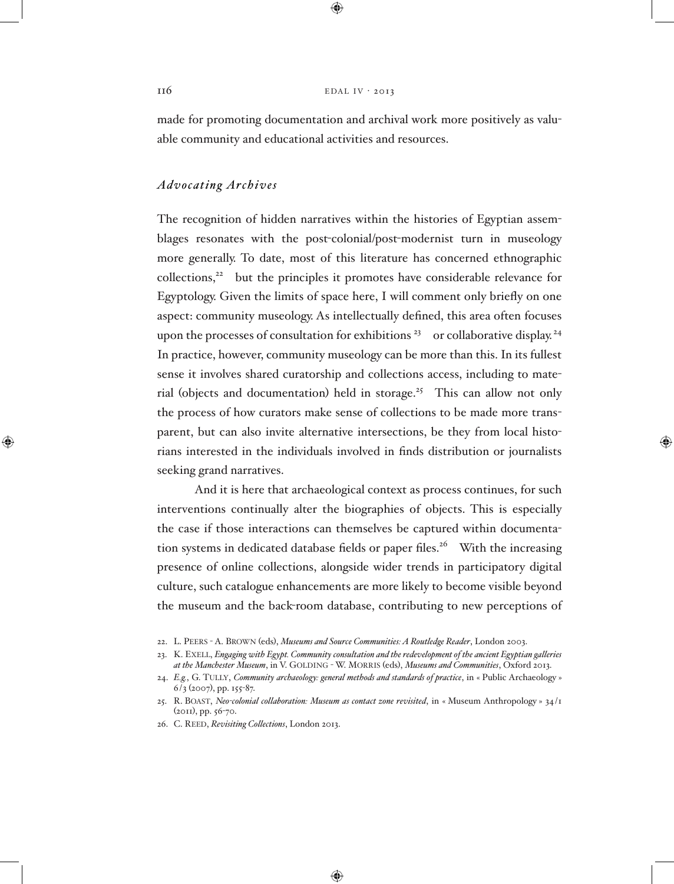#### $116$  EDAL IV · 2013

⊕

made for promoting documentation and archival work more positively as valuable community and educational activities and resources.

# *Advocating Archives*

The recognition of hidden narratives within the histories of Egyptian assemblages resonates with the post-colonial/post-modernist turn in museology more generally. To date, most of this literature has concerned ethnographic collections,<sup>22</sup> but the principles it promotes have considerable relevance for Egyptology. Given the limits of space here, I will comment only briefly on one aspect: community museology. As intellectually defined, this area often focuses upon the processes of consultation for exhibitions<sup>23</sup> or collaborative display.<sup>24</sup> In practice, however, community museology can be more than this. In its fullest sense it involves shared curatorship and collections access, including to material (objects and documentation) held in storage.<sup>25</sup> This can allow not only the process of how curators make sense of collections to be made more transparent, but can also invite alternative intersections, be they from local historians interested in the individuals involved in finds distribution or journalists seeking grand narratives.

And it is here that archaeological context as process continues, for such interventions continually alter the biographies of objects. This is especially the case if those interactions can themselves be captured within documentation systems in dedicated database fields or paper files.<sup>26</sup> With the increasing presence of online collections, alongside wider trends in participatory digital culture, such catalogue enhancements are more likely to become visible beyond the museum and the back-room database, contributing to new perceptions of

⊕

<sup>22.</sup> L. Peers - A. Brown (eds), *Museums and Source Communities: A Routledge Reader*, London 2003.

<sup>23.</sup> K. Exell, *Engaging with Egypt. Community consultation and the redevelopment of the ancient Egyptian galleries*  at the Manchester Museum, in V. GOLDING - W. MORRIS (eds), *Museums and Communities*, Oxford 2013.

<sup>24.</sup> *E.g.*, G. Tully, *Community archaeology: general methods and standards of practice*, in « Public Archaeology »  $6/3$  (2007), pp. 155-87.

<sup>25.</sup> R. Boast, *Neo-colonial collaboration: Museum as contact zone revisited*, in « Museum Anthropology » 34/1 (2011), pp. 56-70.

<sup>26.</sup> C. Reed, *Revisiting Collections*, London 2013.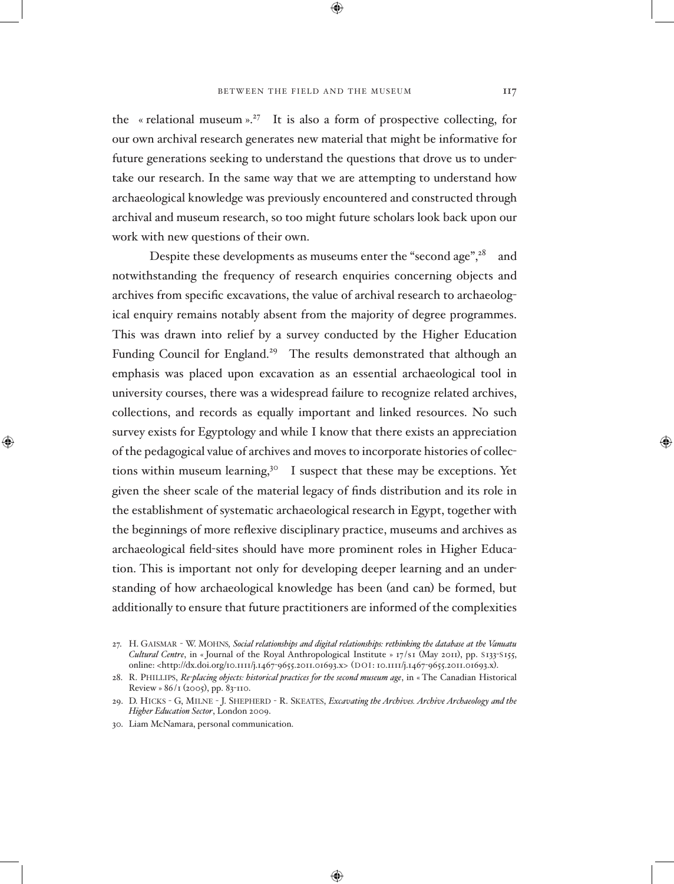⊕

the « relational museum »<sup>27</sup> It is also a form of prospective collecting, for our own archival research generates new material that might be informative for future generations seeking to understand the questions that drove us to undertake our research. In the same way that we are attempting to understand how archaeological knowledge was previously encountered and constructed through archival and museum research, so too might future scholars look back upon our work with new questions of their own.

Despite these developments as museums enter the "second age", $28$  and notwithstanding the frequency of research enquiries concerning objects and archives from specific excavations, the value of archival research to archaeological enquiry remains notably absent from the majority of degree programmes. This was drawn into relief by a survey conducted by the Higher Education Funding Council for England.<sup>29</sup> The results demonstrated that although an emphasis was placed upon excavation as an essential archaeological tool in university courses, there was a widespread failure to recognize related archives, collections, and records as equally important and linked resources. No such survey exists for Egyptology and while I know that there exists an appreciation of the pedagogical value of archives and moves to incorporate histories of collections within museum learning,<sup>30</sup> I suspect that these may be exceptions. Yet given the sheer scale of the material legacy of finds distribution and its role in the establishment of systematic archaeological research in Egypt, together with the beginnings of more reflexive disciplinary practice, museums and archives as archaeological field-sites should have more prominent roles in Higher Education. This is important not only for developing deeper learning and an understanding of how archaeological knowledge has been (and can) be formed, but additionally to ensure that future practitioners are informed of the complexities

⊕

<sup>27.</sup> H. Gaismar - W. Mohns*, Social relationships and digital relationships: rethinking the database at the Vanuatu Cultural Centre*, in « Journal of the Royal Anthropological Institute » 17/s1 (May 2011), pp. s133-s155, online: <http://dx.doi.org/10.1111/j.1467-9655.2011.01693.x> (DOI: 10.1111/j.1467-9655.2011.01693.x).

<sup>28.</sup> R. Phillips, *Re-placing objects: historical practices for the second museum age*, in « The Canadian Historical Review » 86/1 (2005), pp. 83-110.

<sup>29.</sup> D. Hicks - G, Milne - J. Shepherd - R. Skeates, *Excavating the Archives. Archive Archaeology and the Higher Education Sector*, London 2009.

<sup>30.</sup> Liam McNamara, personal communication.